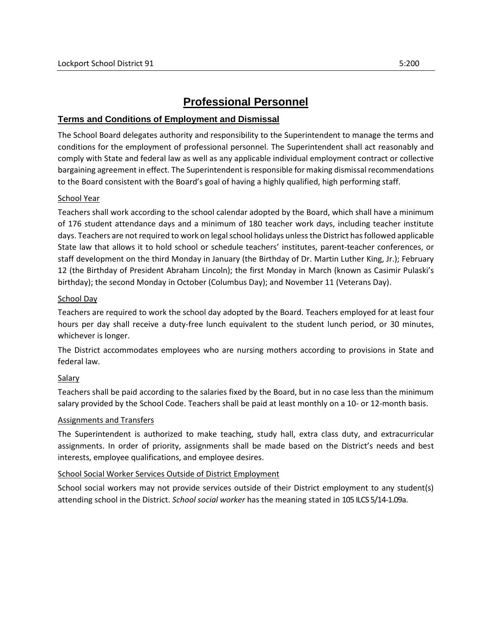# **Professional Personnel**

# **Terms and Conditions of Employment and Dismissal**

The School Board delegates authority and responsibility to the Superintendent to manage the terms and conditions for the employment of professional personnel. The Superintendent shall act reasonably and comply with State and federal law as well as any applicable individual employment contract or collective bargaining agreement in effect. The Superintendent is responsible for making dismissal recommendations to the Board consistent with the Board's goal of having a highly qualified, high performing staff.

#### School Year

Teachers shall work according to the school calendar adopted by the Board, which shall have a minimum of 176 student attendance days and a minimum of 180 teacher work days, including teacher institute days. Teachers are not required to work on legal school holidays unless the District has followed applicable State law that allows it to hold school or schedule teachers' institutes, parent-teacher conferences, or staff development on the third Monday in January (the Birthday of Dr. Martin Luther King, Jr.); February 12 (the Birthday of President Abraham Lincoln); the first Monday in March (known as Casimir Pulaski's birthday); the second Monday in October (Columbus Day); and November 11 (Veterans Day).

#### School Day

Teachers are required to work the school day adopted by the Board. Teachers employed for at least four hours per day shall receive a duty-free lunch equivalent to the student lunch period, or 30 minutes, whichever is longer.

The District accommodates employees who are nursing mothers according to provisions in State and federal law.

## Salary

Teachers shall be paid according to the salaries fixed by the Board, but in no case less than the minimum salary provided by the School Code. Teachers shall be paid at least monthly on a 10- or 12-month basis.

#### Assignments and Transfers

The Superintendent is authorized to make teaching, study hall, extra class duty, and extracurricular assignments. In order of priority, assignments shall be made based on the District's needs and best interests, employee qualifications, and employee desires.

## School Social Worker Services Outside of District Employment

School social workers may not provide services outside of their District employment to any student(s) attending school in the District. *School social worker* has the meaning stated in 105 ILCS 5/14-1.09a.